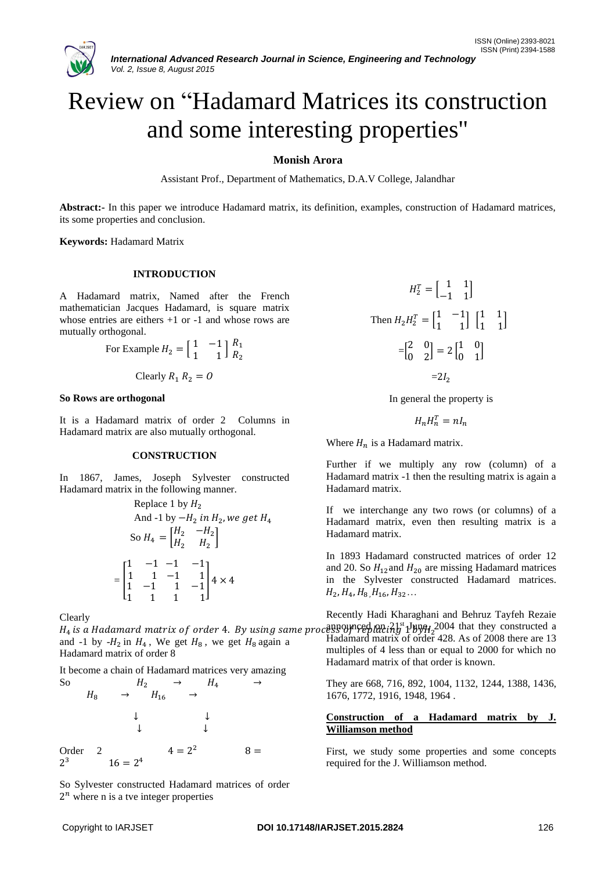

# Review on "Hadamard Matrices its construction and some interesting properties"

# **Monish Arora**

Assistant Prof., Department of Mathematics, D.A.V College, Jalandhar

**Abstract:-** In this paper we introduce Hadamard matrix, its definition, examples, construction of Hadamard matrices, its some properties and conclusion.

**Keywords:** Hadamard Matrix

## **INTRODUCTION**

A Hadamard matrix, Named after the French mathematician Jacques Hadamard, is square matrix whose entries are eithers  $+1$  or  $-1$  and whose rows are mutually orthogonal.

For Example 
$$
H_2 = \begin{bmatrix} 1 & -1 \\ 1 & 1 \end{bmatrix} \begin{bmatrix} R_1 \\ R_2 \end{bmatrix}
$$

Clearly 
$$
R_1 R_2 = 0
$$

#### **So Rows are orthogonal**

It is a Hadamard matrix of order 2 Columns in Hadamard matrix are also mutually orthogonal.

## **CONSTRUCTION**

In 1867, James, Joseph Sylvester constructed Hadamard matrix in the following manner.

Replace 1 by 
$$
H_2
$$
  
\nAnd -1 by  $-H_2$  in  $H_2$ , we get  $H_4$   
\nSo  $H_4 = \begin{bmatrix} H_2 & -H_2 \\ H_2 & H_2 \end{bmatrix}$   
\n
$$
= \begin{bmatrix} 1 & -1 & -1 & -1 \\ 1 & 1 & -1 & 1 \\ 1 & -1 & 1 & -1 \\ 1 & 1 & 1 & 1 \end{bmatrix} 4 \times 4
$$

Clearly

and -1 by  $-H_2$  in  $H_4$ , We get  $H_8$ , we get  $H_8$  again a Hadamard matrix of order 8

It become a chain of Hadamard matrices very amazing So  $H_2 \rightarrow H_4$  $H_8 \rightarrow H_{16}$ ↓ ↓ ↓ ↓ Order 2  $4 = 2^2$  $8 =$ 2 <sup>3</sup>  $16 = 2^4$ 

So Sylvester constructed Hadamard matrices of order  $2^n$  where n is a tve integer properties

$$
H_2^T = \begin{bmatrix} 1 & 1 \\ -1 & 1 \end{bmatrix}
$$
  
Then  $H_2 H_2^T = \begin{bmatrix} 1 & -1 \\ 1 & 1 \end{bmatrix} \begin{bmatrix} 1 & 1 \\ 1 & 1 \end{bmatrix}$   

$$
= \begin{bmatrix} 2 & 0 \\ 0 & 2 \end{bmatrix} = 2 \begin{bmatrix} 1 & 0 \\ 0 & 1 \end{bmatrix}
$$
  

$$
= 2I_2
$$

In general the property is

$$
H_n H_n^T = n I_n
$$

Where  $H_n$  is a Hadamard matrix.

Further if we multiply any row (column) of a Hadamard matrix -1 then the resulting matrix is again a Hadamard matrix.

If we interchange any two rows (or columns) of a Hadamard matrix, even then resulting matrix is a Hadamard matrix.

In 1893 Hadamard constructed matrices of order 12 and 20. So  $H_{12}$  and  $H_{20}$  are missing Hadamard matrices in the Sylvester constructed Hadamard matrices.  $H_2, H_4, H_8, H_{16}, H_{32}...$ 

 $H_4$  is a Hadamard matrix of order 4. By using same process Of  $H_4$  and  $H_5$ <sup>t</sup>  $\frac{1}{2}$   $\frac{1}{2}$   $\frac{1}{2}$   $\frac{1}{2}$   $\frac{1}{2}$   $\frac{1}{2}$   $\frac{1}{2}$   $\frac{1}{2}$   $\frac{1}{2}$   $\frac{1}{2}$   $\frac{1}{2}$   $\frac{1}{2}$   $\frac{1}{2}$   $\frac{1}{2}$ Recently Hadi Kharaghani and Behruz Tayfeh Rezaie Hadamard matrix of order 428. As of 2008 there are 13 multiples of 4 less than or equal to 2000 for which no Hadamard matrix of that order is known.

> They are 668, 716, 892, 1004, 1132, 1244, 1388, 1436, 1676, 1772, 1916, 1948, 1964 .

# **Construction of a Hadamard matrix by J. Williamson method**

First, we study some properties and some concepts required for the J. Williamson method.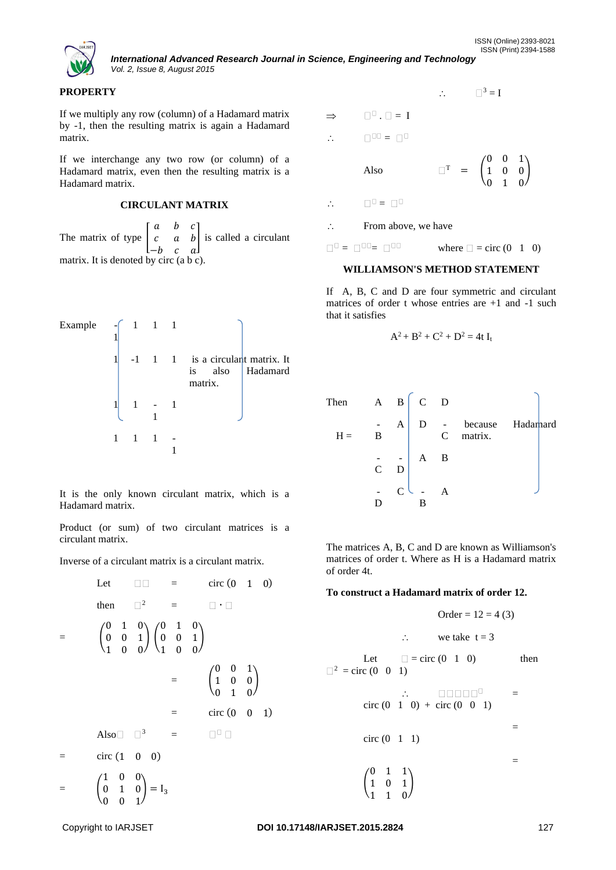

*International Advanced Research Journal in Science, Engineering and Technology Vol. 2, Issue 8, August 2015*

## **PROPERTY**

If we multiply any row (column) of a Hadamard matrix by -1, then the resulting matrix is again a Hadamard matrix.

If we interchange any two row (or column) of a Hadamard matrix, even then the resulting matrix is a Hadamard matrix.

# **CIRCULANT MATRIX**

The matrix of type  $\vert$ a b c  $c$  a  $b$ −*b* c a ] is called a circulant matrix. It is denoted by circ (a b c).

Example 
$$
\begin{bmatrix} 1 & 1 & 1 \ 1 & 1 & 1 & 1 \ 1 & 1 & 1 & 1 \ 1 & 1 & 1 & 1 \ 1 & 1 & 1 & 1 \ 1 & 1 & 1 & 1 \end{bmatrix}
$$
   
matrix.  
Hadamard matrix.  
1 1 1 1 - 1

It is the only known circulant matrix, which is a Hadamard matrix.

Product (or sum) of two circulant matrices is a circulant matrix.

Inverse of a circulant matrix is a circulant matrix.

Let 
$$
\Box \Box =
$$
 circ (0 1 0)  
\nthen  $\Box^2 = \Box \Box$   
\n $= \begin{pmatrix} 0 & 1 & 0 \\ 0 & 0 & 1 \\ 1 & 0 & 0 \end{pmatrix} \begin{pmatrix} 0 & 1 & 0 \\ 0 & 0 & 1 \\ 1 & 0 & 0 \end{pmatrix}$   
\n $= \begin{pmatrix} 0 & 0 & 1 \\ 1 & 0 & 0 \\ 0 & 1 & 0 \end{pmatrix}$   
\n $=$  circ (0 0 1)  
\nAlso  $\Box^3 = \Box \Box$   
\n $=$  circ (1 0 0)  
\n $=$   $\begin{pmatrix} 1 & 0 & 0 \\ 0 & 1 & 0 \\ 0 & 0 & 1 \end{pmatrix} = I_3$ 

 $\therefore$   $\Box^3 = I$  $\Rightarrow$   $\square$   $\square$  = I  $\therefore$   $\Box^{00} = \Box^{0}$ Also  $=$  ( 0 0 1 1 0 0 0 1 0 )  $\therefore$   $\Box^0 = \Box^0$  $\therefore$  From above, we have  $\square$  =  $\square$  =  $\square$  =  $\square$  = circ (0 1 0)

#### **WILLIAMSON'S METHOD STATEMENT**

If A, B, C and D are four symmetric and circulant matrices of order t whose entries are +1 and -1 such that it satisfies

$$
A^2 + B^2 + C^2 + D^2 = 4t I_t
$$

| Then  |                |               | $A \quad B \begin{bmatrix} C & D \end{bmatrix}$ |                |                        |           |
|-------|----------------|---------------|-------------------------------------------------|----------------|------------------------|-----------|
| $H =$ | В              | $\mathbf{A}$  | D                                               |                | because<br>$C$ matrix. | Hadarnard |
|       | $\overline{C}$ | D             | $-$ A                                           | B              |                        |           |
|       |                | $\mathcal{C}$ |                                                 | $\overline{A}$ |                        |           |

The matrices A, B, C and D are known as Williamson's matrices of order t. Where as H is a Hadamard matrix of order 4t.

## **To construct a Hadamard matrix of order 12.**

Order = 12 = 4 (3)  
\n
$$
\therefore
$$
 we take t = 3  
\nLet  $\Box$  = circ (0 1 0) then  
\n $\therefore$   $\Box$  =  $\Box$  =  $\Box$  then  
\n $\therefore$   $\Box$  =  $\Box$  =  
\ncirc (0 1 0) + circ (0 0 1)  
\n=  $\Box$  =  
\n $\begin{pmatrix} 0 & 1 & 1 \\ 1 & 0 & 1 \\ 1 & 1 & 0 \end{pmatrix}$  =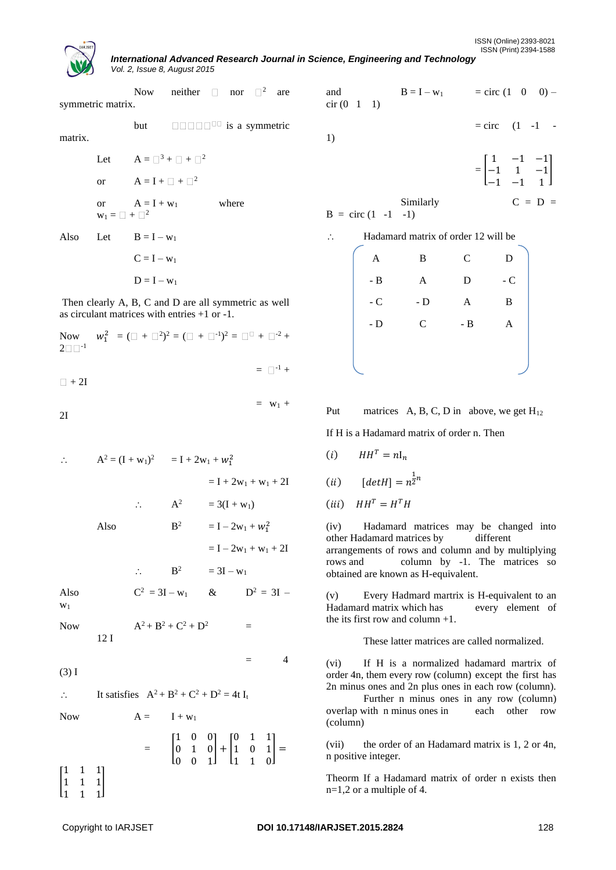*International Advanced Research Journal in Science, Engineering and Technology Vol. 2, Issue 8, August 2015*

Now neither  $\Box$  nor  $\Box^2$  are symmetric matrix. but  $\Box$  $\Box$  $\Box$  $\Box$  $\Box$  is a symmetric matrix. Let  $A = \Box^3 + \Box + \Box^2$ or  $A = I + \square + \square^2$ 

or 
$$
A = I + w_1
$$
 where  
 $w_1 = \Box + \Box^2$ 

Also Let  $B = I - w_1$  $C = I - w_1$  $D = I - w_1$ 

Then clearly A, B, C and D are all symmetric as well as circulant matrices with entries +1 or -1.

| Now $w_1^2 = (\square + \square^2)^2 = (\square + \square^{-1})^2 = \square^2 + \square^{-2} +$<br>$2\square\,\square^{-1}$ |  |  |  |                      |  |
|-----------------------------------------------------------------------------------------------------------------------------|--|--|--|----------------------|--|
| $\Box$ + 2I                                                                                                                 |  |  |  | $= \Box^{-1} +$      |  |
|                                                                                                                             |  |  |  | $=$ W <sub>1</sub> + |  |

2I

∴ 
$$
A^2 = (I + w_1)^2
$$
 =  $I + 2w_1 + w_1^2$   
\n=  $I + 2w_1 + w_1 + 2I$   
\n∴  $A^2$  = 3( $I + w_1$ )  
\nAlso  $B^2$  =  $I - 2w_1 + w_1^2$   
\n=  $I - 2w_1 + w_1 + 2I$   
\n∴  $B^2$  = 3 $I - w_1$   
\nAlso  $C^2 = 3I - w_1$  &  $D^2 = 3I - w_1$ 

W<sub>1</sub>

Now 
$$
A^2 + B^2 + C^2 + D^2 = 12 I
$$

(3) I

 $\therefore$  It satisfies  $A^2 + B^2 + C^2 + D^2 = 4t I_t$ 

$$
Now \\
$$

$$
= \begin{bmatrix} 1 & 0 & 0 \\ 0 & 1 & 0 \\ 0 & 0 & 1 \end{bmatrix} + \begin{bmatrix} 0 & 1 & 1 \\ 1 & 0 & 1 \\ 1 & 1 & 0 \end{bmatrix} = \begin{bmatrix} 1 & 1 & 1 \\ 1 & 1 & 1 \\ 1 & 1 & 1 \end{bmatrix}
$$

 $A = I + w_1$ 

and  $B = I - w_1 = circ (1 \t 0 \t 0)$  $cir (0 1 1)$ 

$$
1)
$$

$$
= \begin{bmatrix} 1 & -1 & -1 \\ -1 & 1 & -1 \\ -1 & -1 & 1 \end{bmatrix}
$$

 $=$  circ  $(1 -1) -$ 

Similarly 
$$
C = D =
$$

 $B = circ (1 -1 -1)$ 

| Hadamard matrix of order 12 will be |      |       |            |  |
|-------------------------------------|------|-------|------------|--|
| Α                                   | B    | C     | D          |  |
| - B                                 | A    | D     | - $\cal C$ |  |
| - C                                 | $-D$ | A     | B          |  |
| - D                                 | C    | $- B$ | А          |  |
|                                     |      |       |            |  |
|                                     |      |       |            |  |

Put matrices A, B, C, D in above, we get  $H_{12}$ 

If H is a Hadamard matrix of order n. Then

$$
(i) \qquad HH^T = nI_n
$$

$$
(ii) \qquad [det H] = n^{\frac{1}{2}n}
$$

$$
(iii) \quad HH^T = H^T H
$$

(iv) Hadamard matrices may be changed into other Hadamard matrices by different arrangements of rows and column and by multiplying rows and column by -1. The matrices so obtained are known as H-equivalent.

(v) Every Hadmard martrix is H-equivalent to an Hadamard matrix which has every element of the its first row and column +1.

These latter matrices are called normalized.

(vi) If H is a normalized hadamard martrix of order 4n, them every row (column) except the first has 2n minus ones and 2n plus ones in each row (column).

Further n minus ones in any row (column) overlap with n minus ones in each other row (column)

(vii) the order of an Hadamard matrix is 1, 2 or 4n, n positive integer.

Theorm If a Hadamard matrix of order n exists then n=1,2 or a multiple of 4.

 $=$  4